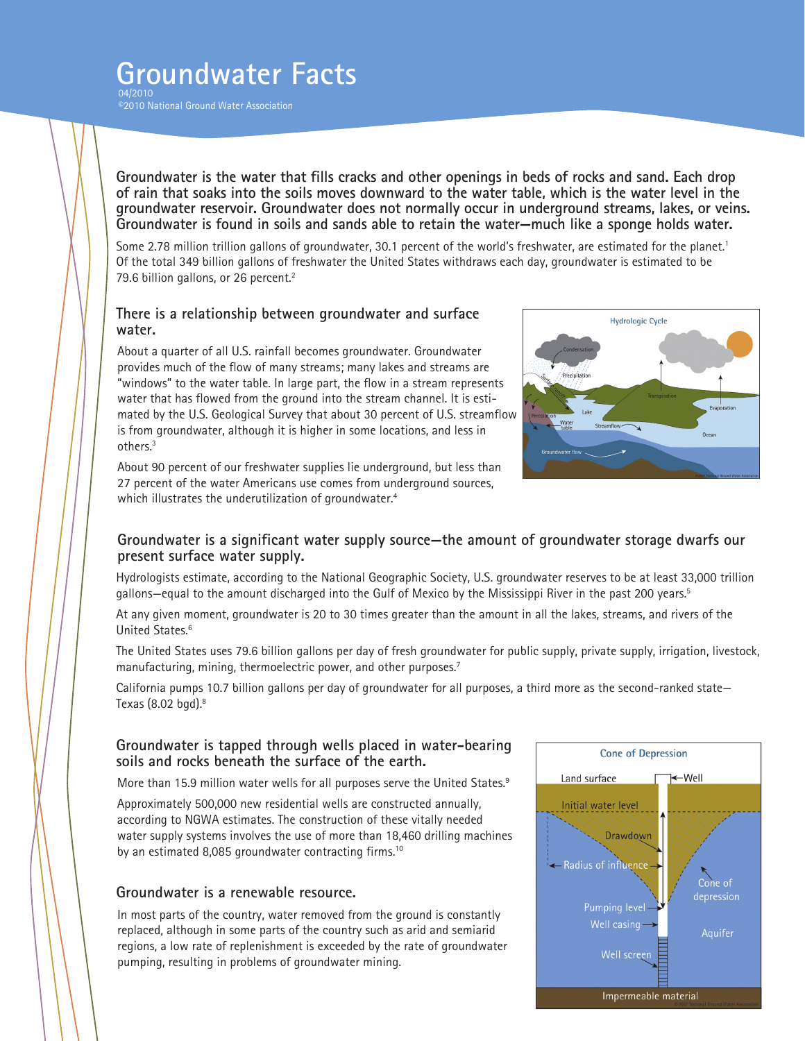# **Groundwater Facts**

04/2010 ©2010 National Ground Water Association

**Groundwater is the water that fills cracks and other openings in beds of rocks and sand. Each drop of rain that soaks into the soils moves downward to the water table, which is the water level in the groundwater reservoir. Groundwater does not normally occur in underground streams, lakes, or veins. Groundwater is found in soils and sands able to retain the water—much like a sponge holds water.**

Some 2.78 million trillion gallons of groundwater, 30.1 percent of the world's freshwater, are estimated for the planet.<sup>1</sup> Of the total 349 billion gallons of freshwater the United States withdraws each day, groundwater is estimated to be 79.6 billion gallons, or 26 percent.<sup>2</sup>

#### **There is a relationship between groundwater and surface water.**

About a quarter of all U.S. rainfall becomes groundwater. Groundwater provides much of the flow of many streams; many lakes and streams are "windows" to the water table. In large part, the flow in a stream represents water that has flowed from the ground into the stream channel. It is estimated by the U.S. Geological Survey that about 30 percent of U.S. streamflow is from groundwater, although it is higher in some locations, and less in others.3

About 90 percent of our freshwater supplies lie underground, but less than 27 percent of the water Americans use comes from underground sources, which illustrates the underutilization of groundwater.<sup>4</sup>



### **Groundwater is a significant water supply source—the amount of groundwater storage dwarfs our present surface water supply.**

Hydrologists estimate, according to the National Geographic Society, U.S. groundwater reserves to be at least 33,000 trillion gallons—equal to the amount discharged into the Gulf of Mexico by the Mississippi River in the past 200 years.5

At any given moment, groundwater is 20 to 30 times greater than the amount in all the lakes, streams, and rivers of the United States.6

The United States uses 79.6 billion gallons per day of fresh groundwater for public supply, private supply, irrigation, livestock, manufacturing, mining, thermoelectric power, and other purposes.<sup>7</sup>

California pumps 10.7 billion gallons per day of groundwater for all purposes, a third more as the second-ranked state— Texas (8.02 bgd).8

### **Groundwater is tapped through wells placed in water-bearing soils and rocks beneath the surface of the earth.**

More than 15.9 million water wells for all purposes serve the United States.<sup>9</sup>

Approximately 500,000 new residential wells are constructed annually, according to NGWA estimates. The construction of these vitally needed water supply systems involves the use of more than 18,460 drilling machines by an estimated 8,085 groundwater contracting firms.<sup>10</sup>

### **Groundwater is a renewable resource.**

In most parts of the country, water removed from the ground is constantly replaced, although in some parts of the country such as arid and semiarid regions, a low rate of replenishment is exceeded by the rate of groundwater pumping, resulting in problems of groundwater mining.